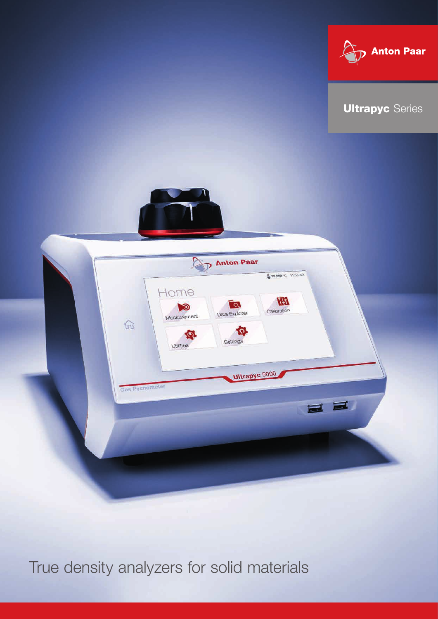





True density analyzers for solid materials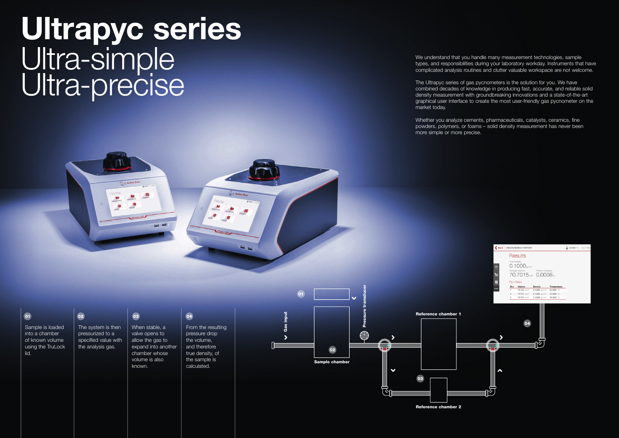We understand that you handle many measurement technologies, sample types, and responsibilities during your laboratory workday. Instruments that have complicated analysis routines and clutter valuable workspace are not welcome.

The Ultrapyc series of gas pycnometers is the solution for you. We have combined decades of knowledge in producing fast, accurate, and reliable solid density measurement with groundbreaking innovations and a state-of-the-art graphical user interface to create the most user-friendly gas pycnometer on the market today.

Whether you analyze cements, pharmaceuticals, catalysts, ceramics, fine powders, polymers, or foams – solid density measurement has never been more simple or more precise.



### $\boxed{01}$

Sample is loaded into a chamber of known volume using the TruLock lid.

 $\overline{02}$ 

The system is then pressurized to a specified value with the analysis gas. When stable, a valve opens to allow the gas to expand into another chamber whose

volume is also

known.

03

## 04

From the resulting pressure drop the volume, and therefore true density, of the sample is calculated.

Pressure transducer

Reference chamber 2







# Ultrapyc series Ultra-simple Ultra-precise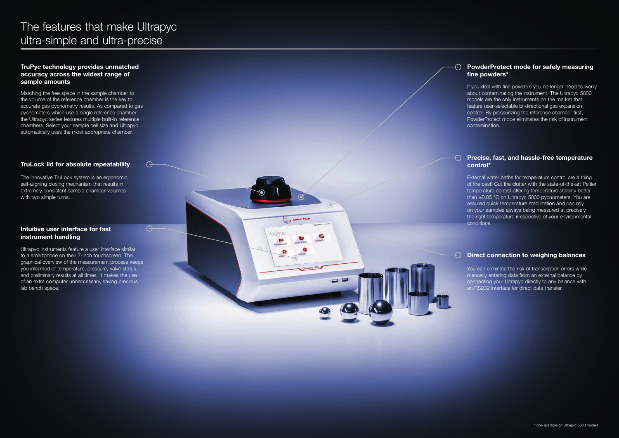Matching the free space in the sample chamber to the volume of the reference chamber is the key to accurate gas pycnometry results. As compared to gas pycnometers which use a single reference chamber the Ultrapyc series features multiple built-in reference chambers. Select your sample cell size and Ultrapyc automatically uses the most appropriate chamber.

### TruLock lid for absolute repeatability

 $\ominus$ 

 $\Theta$ 

Anton Paar

 $\blacksquare$ 

The innovative TruLock system is an ergonomic, self-aligning closing mechanism that results in extremely consistent sample chamber volumes with two simple turns.

#### Intuitive user interface for fast instrument handling

If you deal with fine powders you no longer need to worry about contaminating the instrument. The Ultrapyc 5000 models are the only instruments on the market that feature user-selectable bi-directional gas expansion control. By pressurizing the reference chamber first, PowderProtect mode eliminates the risk of instrument contamination.

Ultrapyc instruments feature a user interface similar to a smartphone on their 7-inch touchscreen. The graphical overview of the measurement process keeps you informed of temperature, pressure, valve status, and preliminary results at all times. It makes the use of an extra computer unneccessary, saving precious lab bench space.

### PowderProtect mode for safely measuring fine powders\*

You can eliminate the risk of transcription errors while manually entering data from an external balance by connecting your Ultrapyc directly to any balance with an RS232 interface for direct data transfer.

# The features that make Ultrapyc ultra-simple and ultra-precise

#### TruPyc technology provides unmatched accuracy across the widest range of sample amounts

#### Precise, fast, and hassle-free temperature control\*

External water baths for temperature control are a thing of the past! Cut the clutter with the state-of-the-art Peltier temperature control offering temperature stability better than ±0.05 °C on Ultrapyc 5000 pycnometers. You are assured quick temperature stabilization and can rely on your samples always being measured at precisely the right temperature irrespective of your environmental conditions.

#### Direct connection to weighing balances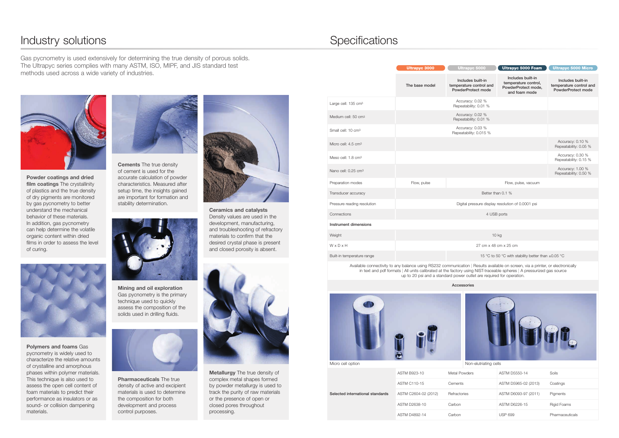Polymers and foams Gas pycnometry is widely used to characterize the relative amounts of crystalline and amorphous phases within polymer materials. This technique is also used to assess the open cell content of foam materials to predict their performance as insulators or as sound- or collision dampening materials.



Metallurgy The true density of complex metal shapes formed by powder metallurgy is used to track the purity of raw materials or the presence of open or closed pores throughout processing.

Pharmaceuticals The true density of active and excipient materials is used to determine the composition for both development and process control purposes.



**Cements** The true density of cement is used for the accurate calculation of powder characteristics. Measured after setup time, the insights gained are important for formation and stability determination.



Powder coatings and dried film coatings The crystallinity of plastics and the true density of dry pigments are monitored by gas pycnometry to better understand the mechanical behavior of these materials. In addition, gas pycnometry can help determine the volatile organic content within dried films in order to assess the level of curing.



Ceramics and catalysts Density values are used in the development, manufacturing, and troubleshooting of refractory materials to confirm that the desired crystal phase is present and closed porosity is absent.



Mining and oil exploration Gas pycnometry is the primary technique used to quickly assess the composition of the solids used in drilling fluids.



Selected international standards ASTM B923-10 Metal Powd ASTM C110-15 Cements ASTM C2604-02 (2012) Refractories ASTM D2638-10 Carbon ASTM D4892-14 Carbon

## Industry solutions **Specifications**

Gas pycnometry is used extensively for determining the true density of porous solids. The Ultrapyc series complies with many ASTM, ISO, MIPF, and JIS standard test methods used across a wide variety of industries.



| <b>Ultrapyc 5000</b>                                               | <b>Ultrapyc 5000 Foam</b>                                                         | <b>Ultrapyc 5000 Micro</b>                                         |
|--------------------------------------------------------------------|-----------------------------------------------------------------------------------|--------------------------------------------------------------------|
| Includes built-in<br>temperature control and<br>PowderProtect mode | Includes built-in<br>temperature control,<br>PowderProtect mode,<br>and foam mode | Includes built-in<br>temperature control and<br>PowderProtect mode |
| Accuracy: 0.02 %<br>Repeatability: 0.01 %                          |                                                                                   |                                                                    |
| Accuracy: 0.02 %<br>Repeatability: 0.01 %                          |                                                                                   |                                                                    |
| Accuracy: 0.03 %<br>Repeatability: 0.015 %                         |                                                                                   |                                                                    |
|                                                                    |                                                                                   | Accuracy: 0.10 %<br>Repeatability: 0.05 %                          |
|                                                                    |                                                                                   | Accuracy: 0.30 %<br>Repeatability: 0.15 %                          |
|                                                                    |                                                                                   | Accuracy: 1.00 %<br>Repeatability: 0.50 %                          |

| lers | ASTM D5550-14        | Soils              |
|------|----------------------|--------------------|
|      | ASTM D5965-02 (2013) | Coatings           |
|      | ASTM D6093-97 (2011) | Pigments           |
|      | ASTM D6226-15        | <b>Rigid Foams</b> |
|      | <b>USP 699</b>       | Pharmaceuticals    |

|                                 | The base model                                     | Includes built-in<br>temperature control and<br>PowderProtect mode | Includes built-in<br>temperature control,<br>PowderProtect mode,<br>and foam mode | Includes built-in<br>temperature control<br>PowderProtect mod |
|---------------------------------|----------------------------------------------------|--------------------------------------------------------------------|-----------------------------------------------------------------------------------|---------------------------------------------------------------|
| Large cell: 135 cm <sup>3</sup> |                                                    | Accuracy: 0.02 %<br>Repeatability: 0.01 %                          |                                                                                   |                                                               |
| Medium cell: 50 cm <sup>3</sup> |                                                    | Accuracy: 0.02 %<br>Repeatability: 0.01 %                          |                                                                                   |                                                               |
| Small cell: 10 cm <sup>3</sup>  |                                                    | Accuracy: 0.03 %<br>Repeatability: 0.015 %                         |                                                                                   |                                                               |
| Micro cell: 4.5 cm <sup>3</sup> |                                                    |                                                                    |                                                                                   | Accuracy: 0.10 %<br>Repeatability: 0.05 9                     |
| Meso cell: 1.8 cm <sup>3</sup>  |                                                    |                                                                    |                                                                                   | Accuracy: 0.30 %<br>Repeatability: 0.15 9                     |
| Nano cell: 0.25 cm <sup>3</sup> |                                                    |                                                                    |                                                                                   | Accuracy: 1.00 %<br>Repeatability: 0.50 9                     |
| Preparation modes               | Flow, pulse                                        |                                                                    | Flow, pulse, vacuum                                                               |                                                               |
| Transducer accuracy             | Better than 0.1 %                                  |                                                                    |                                                                                   |                                                               |
| Pressure reading resolution     | Digital pressure display resolution of 0.0001 psi  |                                                                    |                                                                                   |                                                               |
| Connections                     | 4 USB ports                                        |                                                                    |                                                                                   |                                                               |
| Instrument dimensions           |                                                    |                                                                    |                                                                                   |                                                               |
| Weight                          |                                                    | 10 kg                                                              |                                                                                   |                                                               |
| WxDxH                           |                                                    | 27 cm x 48 cm x 25 cm                                              |                                                                                   |                                                               |
| Built-in temperature range      | 15 °C to 50 °C with stability better than ±0.05 °C |                                                                    |                                                                                   |                                                               |

Available connectivity to any balance using RS232 communication | Results available on screen, via a printer, or electronically in text and pdf formats | All units calibrated at the factory using NIST-traceable spheres | A pressurized gas source up to 20 psi and a standard power outlet are required for operation.

#### Accessories

 $3000$  Illtra